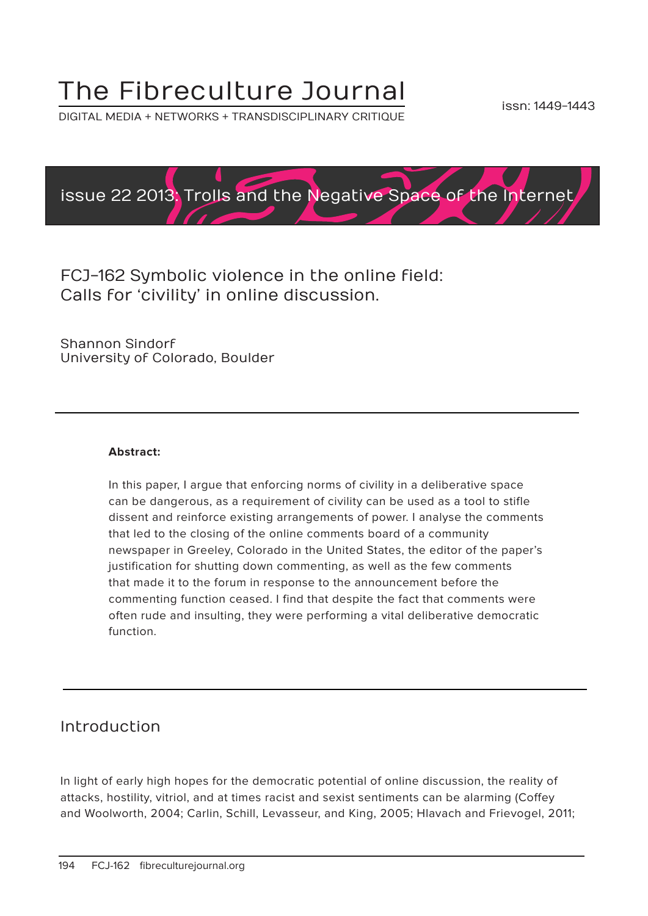# The Fibreculture Journal

DIGITAL MEDIA + NETWORKS + TRANSDISCIPLINARY CRITIQUE



FCJ-162 Symbolic violence in the online field: Calls for 'civility' in online discussion.

Shannon Sindorf University of Colorado, Boulder

#### **Abstract:**

In this paper, I argue that enforcing norms of civility in a deliberative space can be dangerous, as a requirement of civility can be used as a tool to stifle dissent and reinforce existing arrangements of power. I analyse the comments that led to the closing of the online comments board of a community newspaper in Greeley, Colorado in the United States, the editor of the paper's justification for shutting down commenting, as well as the few comments that made it to the forum in response to the announcement before the commenting function ceased. I find that despite the fact that comments were often rude and insulting, they were performing a vital deliberative democratic function.

#### Introduction

In light of early high hopes for the democratic potential of online discussion, the reality of attacks, hostility, vitriol, and at times racist and sexist sentiments can be alarming (Coffey and Woolworth, 2004; Carlin, Schill, Levasseur, and King, 2005; Hlavach and Frievogel, 2011;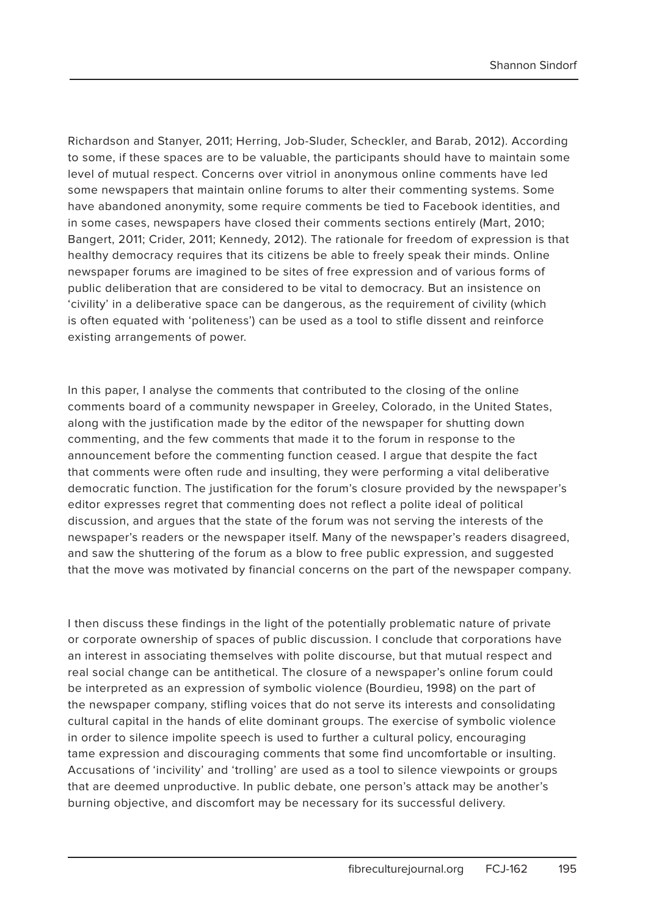Richardson and Stanyer, 2011; Herring, Job-Sluder, Scheckler, and Barab, 2012). According to some, if these spaces are to be valuable, the participants should have to maintain some level of mutual respect. Concerns over vitriol in anonymous online comments have led some newspapers that maintain online forums to alter their commenting systems. Some have abandoned anonymity, some require comments be tied to Facebook identities, and in some cases, newspapers have closed their comments sections entirely (Mart, 2010; Bangert, 2011; Crider, 2011; Kennedy, 2012). The rationale for freedom of expression is that healthy democracy requires that its citizens be able to freely speak their minds. Online newspaper forums are imagined to be sites of free expression and of various forms of public deliberation that are considered to be vital to democracy. But an insistence on 'civility' in a deliberative space can be dangerous, as the requirement of civility (which is often equated with 'politeness') can be used as a tool to stifle dissent and reinforce existing arrangements of power.

In this paper, I analyse the comments that contributed to the closing of the online comments board of a community newspaper in Greeley, Colorado, in the United States, along with the justification made by the editor of the newspaper for shutting down commenting, and the few comments that made it to the forum in response to the announcement before the commenting function ceased. I argue that despite the fact that comments were often rude and insulting, they were performing a vital deliberative democratic function. The justification for the forum's closure provided by the newspaper's editor expresses regret that commenting does not reflect a polite ideal of political discussion, and argues that the state of the forum was not serving the interests of the newspaper's readers or the newspaper itself. Many of the newspaper's readers disagreed, and saw the shuttering of the forum as a blow to free public expression, and suggested that the move was motivated by financial concerns on the part of the newspaper company.

I then discuss these findings in the light of the potentially problematic nature of private or corporate ownership of spaces of public discussion. I conclude that corporations have an interest in associating themselves with polite discourse, but that mutual respect and real social change can be antithetical. The closure of a newspaper's online forum could be interpreted as an expression of symbolic violence (Bourdieu, 1998) on the part of the newspaper company, stifling voices that do not serve its interests and consolidating cultural capital in the hands of elite dominant groups. The exercise of symbolic violence in order to silence impolite speech is used to further a cultural policy, encouraging tame expression and discouraging comments that some find uncomfortable or insulting. Accusations of 'incivility' and 'trolling' are used as a tool to silence viewpoints or groups that are deemed unproductive. In public debate, one person's attack may be another's burning objective, and discomfort may be necessary for its successful delivery.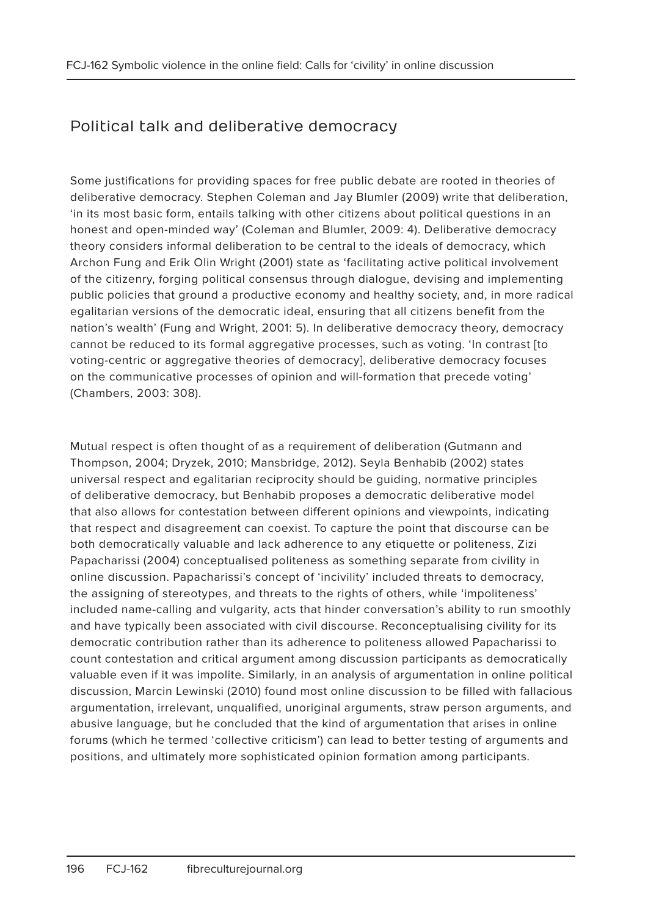# Political talk and deliberative democracy

Some justifications for providing spaces for free public debate are rooted in theories of deliberative democracy. Stephen Coleman and Jay Blumler (2009) write that deliberation, 'in its most basic form, entails talking with other citizens about political questions in an honest and open-minded way' (Coleman and Blumler, 2009: 4). Deliberative democracy theory considers informal deliberation to be central to the ideals of democracy, which Archon Fung and Erik Olin Wright (2001) state as 'facilitating active political involvement of the citizenry, forging political consensus through dialogue, devising and implementing public policies that ground a productive economy and healthy society, and, in more radical egalitarian versions of the democratic ideal, ensuring that all citizens benefit from the nation's wealth' (Fung and Wright, 2001: 5). In deliberative democracy theory, democracy cannot be reduced to its formal aggregative processes, such as voting. 'In contrast [to voting-centric or aggregative theories of democracy], deliberative democracy focuses on the communicative processes of opinion and will-formation that precede voting' (Chambers, 2003: 308).

Mutual respect is often thought of as a requirement of deliberation (Gutmann and Thompson, 2004; Dryzek, 2010; Mansbridge, 2012). Seyla Benhabib (2002) states universal respect and egalitarian reciprocity should be guiding, normative principles of deliberative democracy, but Benhabib proposes a democratic deliberative model that also allows for contestation between different opinions and viewpoints, indicating that respect and disagreement can coexist. To capture the point that discourse can be both democratically valuable and lack adherence to any etiquette or politeness, Zizi Papacharissi (2004) conceptualised politeness as something separate from civility in online discussion. Papacharissi's concept of 'incivility' included threats to democracy, the assigning of stereotypes, and threats to the rights of others, while 'impoliteness' included name-calling and vulgarity, acts that hinder conversation's ability to run smoothly and have typically been associated with civil discourse. Reconceptualising civility for its democratic contribution rather than its adherence to politeness allowed Papacharissi to count contestation and critical argument among discussion participants as democratically valuable even if it was impolite. Similarly, in an analysis of argumentation in online political discussion, Marcin Lewinski (2010) found most online discussion to be filled with fallacious argumentation, irrelevant, unqualified, unoriginal arguments, straw person arguments, and abusive language, but he concluded that the kind of argumentation that arises in online forums (which he termed 'collective criticism') can lead to better testing of arguments and positions, and ultimately more sophisticated opinion formation among participants.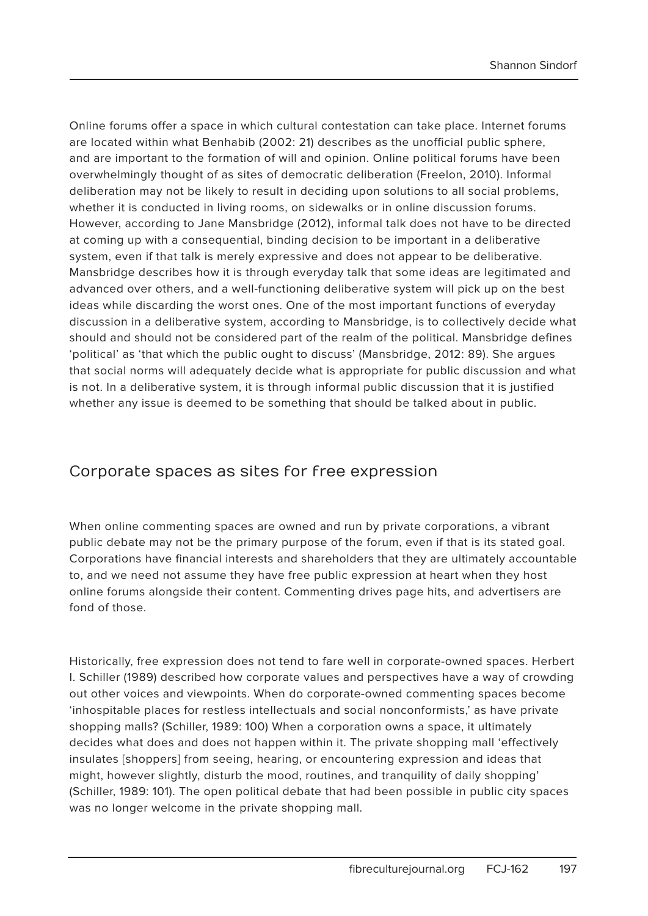Online forums offer a space in which cultural contestation can take place. Internet forums are located within what Benhabib (2002: 21) describes as the unofficial public sphere, and are important to the formation of will and opinion. Online political forums have been overwhelmingly thought of as sites of democratic deliberation (Freelon, 2010). Informal deliberation may not be likely to result in deciding upon solutions to all social problems, whether it is conducted in living rooms, on sidewalks or in online discussion forums. However, according to Jane Mansbridge (2012), informal talk does not have to be directed at coming up with a consequential, binding decision to be important in a deliberative system, even if that talk is merely expressive and does not appear to be deliberative. Mansbridge describes how it is through everyday talk that some ideas are legitimated and advanced over others, and a well-functioning deliberative system will pick up on the best ideas while discarding the worst ones. One of the most important functions of everyday discussion in a deliberative system, according to Mansbridge, is to collectively decide what should and should not be considered part of the realm of the political. Mansbridge defines 'political' as 'that which the public ought to discuss' (Mansbridge, 2012: 89). She argues that social norms will adequately decide what is appropriate for public discussion and what is not. In a deliberative system, it is through informal public discussion that it is justified whether any issue is deemed to be something that should be talked about in public.

#### Corporate spaces as sites for free expression

When online commenting spaces are owned and run by private corporations, a vibrant public debate may not be the primary purpose of the forum, even if that is its stated goal. Corporations have financial interests and shareholders that they are ultimately accountable to, and we need not assume they have free public expression at heart when they host online forums alongside their content. Commenting drives page hits, and advertisers are fond of those.

Historically, free expression does not tend to fare well in corporate-owned spaces. Herbert I. Schiller (1989) described how corporate values and perspectives have a way of crowding out other voices and viewpoints. When do corporate-owned commenting spaces become 'inhospitable places for restless intellectuals and social nonconformists,' as have private shopping malls? (Schiller, 1989: 100) When a corporation owns a space, it ultimately decides what does and does not happen within it. The private shopping mall 'effectively insulates [shoppers] from seeing, hearing, or encountering expression and ideas that might, however slightly, disturb the mood, routines, and tranquility of daily shopping' (Schiller, 1989: 101). The open political debate that had been possible in public city spaces was no longer welcome in the private shopping mall.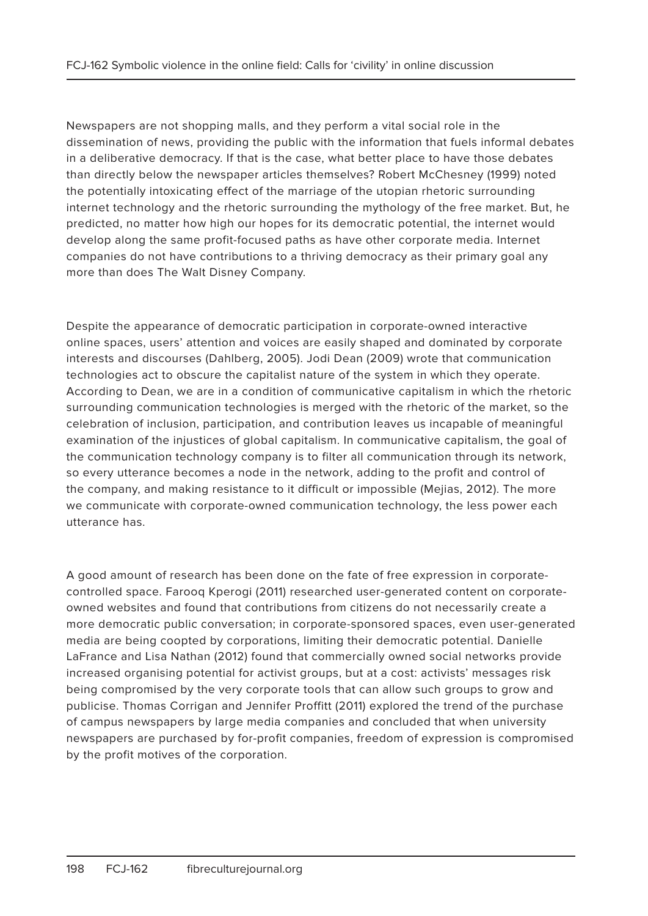Newspapers are not shopping malls, and they perform a vital social role in the dissemination of news, providing the public with the information that fuels informal debates in a deliberative democracy. If that is the case, what better place to have those debates than directly below the newspaper articles themselves? Robert McChesney (1999) noted the potentially intoxicating effect of the marriage of the utopian rhetoric surrounding internet technology and the rhetoric surrounding the mythology of the free market. But, he predicted, no matter how high our hopes for its democratic potential, the internet would develop along the same profit-focused paths as have other corporate media. Internet companies do not have contributions to a thriving democracy as their primary goal any more than does The Walt Disney Company.

Despite the appearance of democratic participation in corporate-owned interactive online spaces, users' attention and voices are easily shaped and dominated by corporate interests and discourses (Dahlberg, 2005). Jodi Dean (2009) wrote that communication technologies act to obscure the capitalist nature of the system in which they operate. According to Dean, we are in a condition of communicative capitalism in which the rhetoric surrounding communication technologies is merged with the rhetoric of the market, so the celebration of inclusion, participation, and contribution leaves us incapable of meaningful examination of the injustices of global capitalism. In communicative capitalism, the goal of the communication technology company is to filter all communication through its network, so every utterance becomes a node in the network, adding to the profit and control of the company, and making resistance to it difficult or impossible (Mejias, 2012). The more we communicate with corporate-owned communication technology, the less power each utterance has.

A good amount of research has been done on the fate of free expression in corporatecontrolled space. Farooq Kperogi (2011) researched user-generated content on corporateowned websites and found that contributions from citizens do not necessarily create a more democratic public conversation; in corporate-sponsored spaces, even user-generated media are being coopted by corporations, limiting their democratic potential. Danielle LaFrance and Lisa Nathan (2012) found that commercially owned social networks provide increased organising potential for activist groups, but at a cost: activists' messages risk being compromised by the very corporate tools that can allow such groups to grow and publicise. Thomas Corrigan and Jennifer Proffitt (2011) explored the trend of the purchase of campus newspapers by large media companies and concluded that when university newspapers are purchased by for-profit companies, freedom of expression is compromised by the profit motives of the corporation.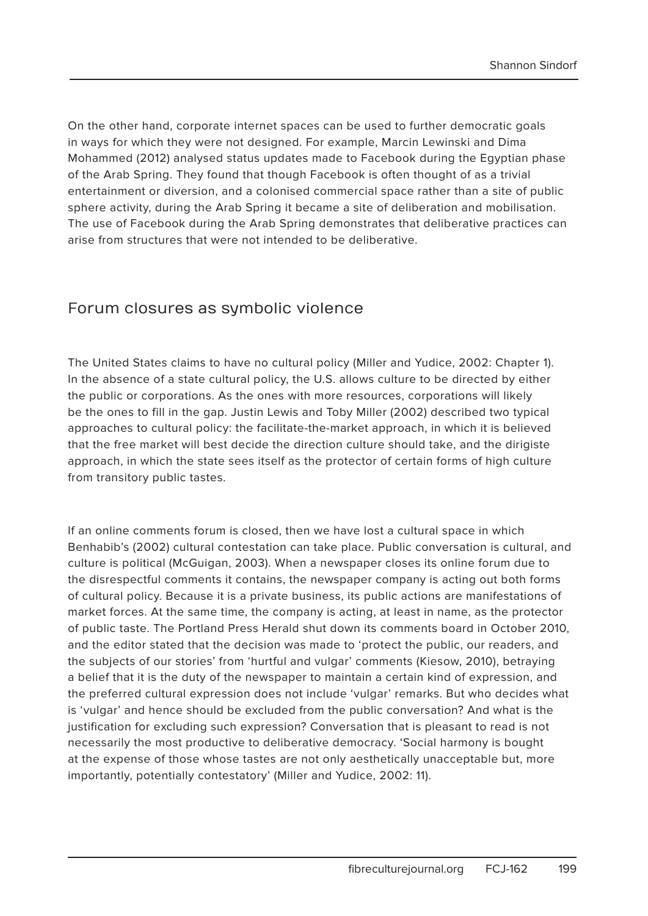On the other hand, corporate internet spaces can be used to further democratic goals in ways for which they were not designed. For example, Marcin Lewinski and Dima Mohammed (2012) analysed status updates made to Facebook during the Egyptian phase of the Arab Spring. They found that though Facebook is often thought of as a trivial entertainment or diversion, and a colonised commercial space rather than a site of public sphere activity, during the Arab Spring it became a site of deliberation and mobilisation. The use of Facebook during the Arab Spring demonstrates that deliberative practices can arise from structures that were not intended to be deliberative.

#### Forum closures as symbolic violence

The United States claims to have no cultural policy (Miller and Yudice, 2002: Chapter 1). In the absence of a state cultural policy, the U.S. allows culture to be directed by either the public or corporations. As the ones with more resources, corporations will likely be the ones to fill in the gap. Justin Lewis and Toby Miller (2002) described two typical approaches to cultural policy: the facilitate-the-market approach, in which it is believed that the free market will best decide the direction culture should take, and the dirigiste approach, in which the state sees itself as the protector of certain forms of high culture from transitory public tastes.

If an online comments forum is closed, then we have lost a cultural space in which Benhabib's (2002) cultural contestation can take place. Public conversation is cultural, and culture is political (McGuigan, 2003). When a newspaper closes its online forum due to the disrespectful comments it contains, the newspaper company is acting out both forms of cultural policy. Because it is a private business, its public actions are manifestations of market forces. At the same time, the company is acting, at least in name, as the protector of public taste. The Portland Press Herald shut down its comments board in October 2010, and the editor stated that the decision was made to 'protect the public, our readers, and the subjects of our stories' from 'hurtful and vulgar' comments (Kiesow, 2010), betraying a belief that it is the duty of the newspaper to maintain a certain kind of expression, and the preferred cultural expression does not include 'vulgar' remarks. But who decides what is 'vulgar' and hence should be excluded from the public conversation? And what is the justification for excluding such expression? Conversation that is pleasant to read is not necessarily the most productive to deliberative democracy. 'Social harmony is bought at the expense of those whose tastes are not only aesthetically unacceptable but, more importantly, potentially contestatory' (Miller and Yudice, 2002: 11).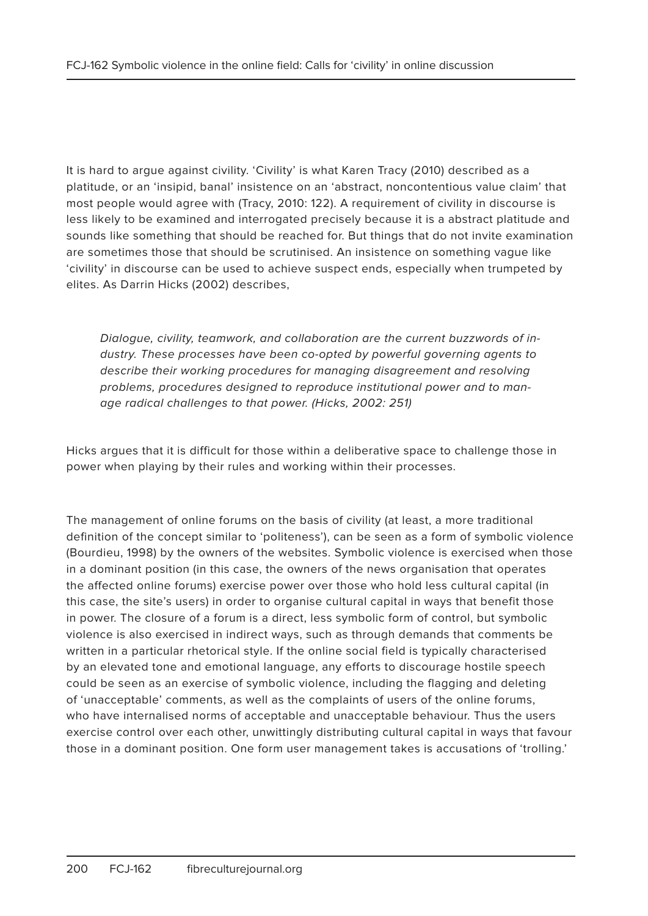It is hard to argue against civility. 'Civility' is what Karen Tracy (2010) described as a platitude, or an 'insipid, banal' insistence on an 'abstract, noncontentious value claim' that most people would agree with (Tracy, 2010: 122). A requirement of civility in discourse is less likely to be examined and interrogated precisely because it is a abstract platitude and sounds like something that should be reached for. But things that do not invite examination are sometimes those that should be scrutinised. An insistence on something vague like 'civility' in discourse can be used to achieve suspect ends, especially when trumpeted by elites. As Darrin Hicks (2002) describes,

Dialogue, civility, teamwork, and collaboration are the current buzzwords of industry. These processes have been co-opted by powerful governing agents to describe their working procedures for managing disagreement and resolving problems, procedures designed to reproduce institutional power and to manage radical challenges to that power. (Hicks, 2002: 251)

Hicks argues that it is difficult for those within a deliberative space to challenge those in power when playing by their rules and working within their processes.

The management of online forums on the basis of civility (at least, a more traditional definition of the concept similar to 'politeness'), can be seen as a form of symbolic violence (Bourdieu, 1998) by the owners of the websites. Symbolic violence is exercised when those in a dominant position (in this case, the owners of the news organisation that operates the affected online forums) exercise power over those who hold less cultural capital (in this case, the site's users) in order to organise cultural capital in ways that benefit those in power. The closure of a forum is a direct, less symbolic form of control, but symbolic violence is also exercised in indirect ways, such as through demands that comments be written in a particular rhetorical style. If the online social field is typically characterised by an elevated tone and emotional language, any efforts to discourage hostile speech could be seen as an exercise of symbolic violence, including the flagging and deleting of 'unacceptable' comments, as well as the complaints of users of the online forums, who have internalised norms of acceptable and unacceptable behaviour. Thus the users exercise control over each other, unwittingly distributing cultural capital in ways that favour those in a dominant position. One form user management takes is accusations of 'trolling.'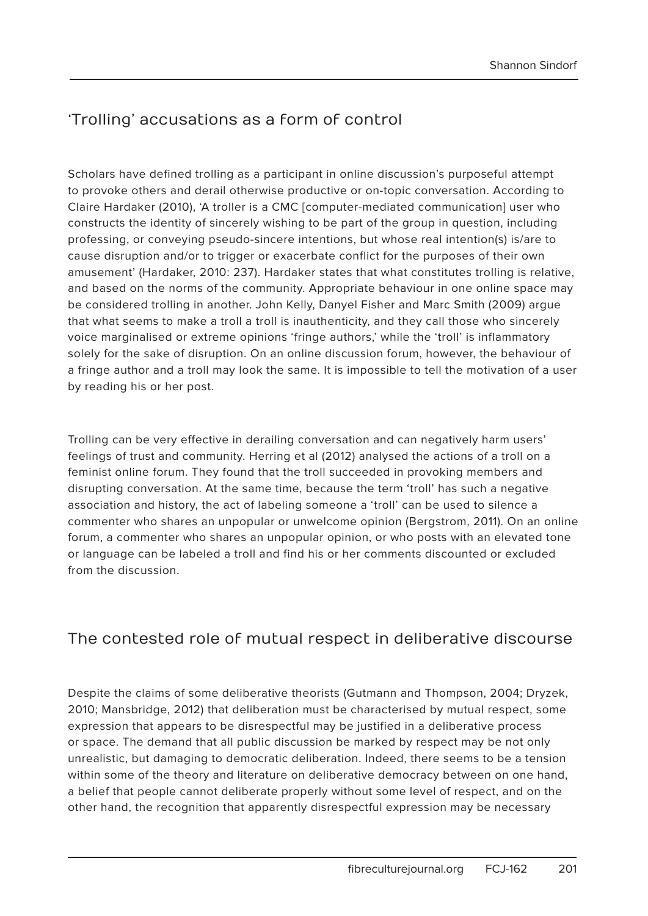# 'Trolling' accusations as a form of control

Scholars have defined trolling as a participant in online discussion's purposeful attempt to provoke others and derail otherwise productive or on-topic conversation. According to Claire Hardaker (2010), 'A troller is a CMC [computer-mediated communication] user who constructs the identity of sincerely wishing to be part of the group in question, including professing, or conveying pseudo-sincere intentions, but whose real intention(s) is/are to cause disruption and/or to trigger or exacerbate conflict for the purposes of their own amusement' (Hardaker, 2010: 237). Hardaker states that what constitutes trolling is relative, and based on the norms of the community. Appropriate behaviour in one online space may be considered trolling in another. John Kelly, Danyel Fisher and Marc Smith (2009) argue that what seems to make a troll a troll is inauthenticity, and they call those who sincerely voice marginalised or extreme opinions 'fringe authors,' while the 'troll' is inflammatory solely for the sake of disruption. On an online discussion forum, however, the behaviour of a fringe author and a troll may look the same. It is impossible to tell the motivation of a user by reading his or her post.

Trolling can be very effective in derailing conversation and can negatively harm users' feelings of trust and community. Herring et al (2012) analysed the actions of a troll on a feminist online forum. They found that the troll succeeded in provoking members and disrupting conversation. At the same time, because the term 'troll' has such a negative association and history, the act of labeling someone a 'troll' can be used to silence a commenter who shares an unpopular or unwelcome opinion (Bergstrom, 2011). On an online forum, a commenter who shares an unpopular opinion, or who posts with an elevated tone or language can be labeled a troll and find his or her comments discounted or excluded from the discussion.

### The contested role of mutual respect in deliberative discourse

Despite the claims of some deliberative theorists (Gutmann and Thompson, 2004; Dryzek, 2010; Mansbridge, 2012) that deliberation must be characterised by mutual respect, some expression that appears to be disrespectful may be justified in a deliberative process or space. The demand that all public discussion be marked by respect may be not only unrealistic, but damaging to democratic deliberation. Indeed, there seems to be a tension within some of the theory and literature on deliberative democracy between on one hand, a belief that people cannot deliberate properly without some level of respect, and on the other hand, the recognition that apparently disrespectful expression may be necessary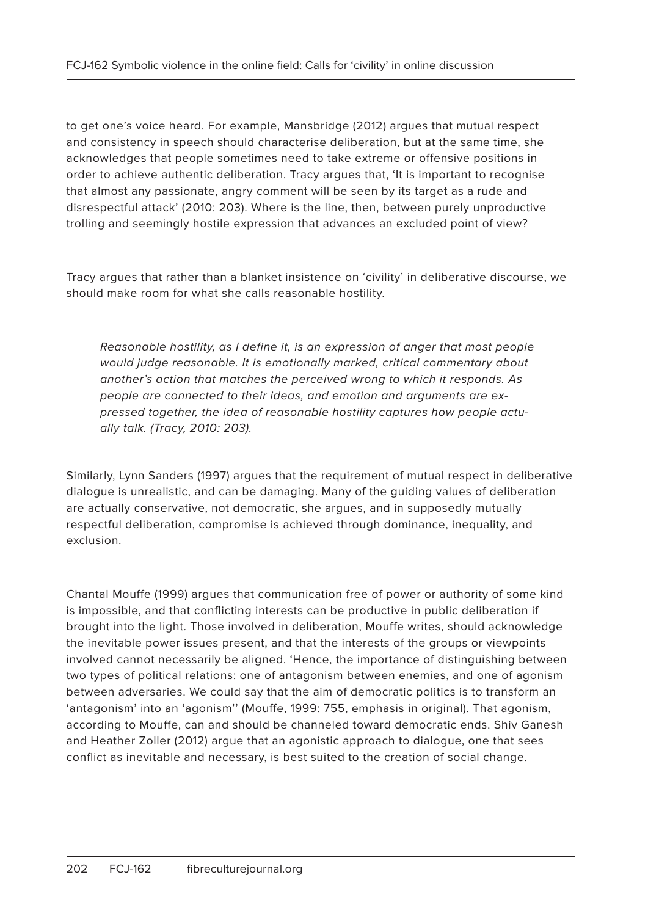to get one's voice heard. For example, Mansbridge (2012) argues that mutual respect and consistency in speech should characterise deliberation, but at the same time, she acknowledges that people sometimes need to take extreme or offensive positions in order to achieve authentic deliberation. Tracy argues that, 'It is important to recognise that almost any passionate, angry comment will be seen by its target as a rude and disrespectful attack' (2010: 203). Where is the line, then, between purely unproductive trolling and seemingly hostile expression that advances an excluded point of view?

Tracy argues that rather than a blanket insistence on 'civility' in deliberative discourse, we should make room for what she calls reasonable hostility.

Reasonable hostility, as I define it, is an expression of anger that most people would judge reasonable. It is emotionally marked, critical commentary about another's action that matches the perceived wrong to which it responds. As people are connected to their ideas, and emotion and arguments are expressed together, the idea of reasonable hostility captures how people actually talk. (Tracy, 2010: 203).

Similarly, Lynn Sanders (1997) argues that the requirement of mutual respect in deliberative dialogue is unrealistic, and can be damaging. Many of the guiding values of deliberation are actually conservative, not democratic, she argues, and in supposedly mutually respectful deliberation, compromise is achieved through dominance, inequality, and exclusion.

Chantal Mouffe (1999) argues that communication free of power or authority of some kind is impossible, and that conflicting interests can be productive in public deliberation if brought into the light. Those involved in deliberation, Mouffe writes, should acknowledge the inevitable power issues present, and that the interests of the groups or viewpoints involved cannot necessarily be aligned. 'Hence, the importance of distinguishing between two types of political relations: one of antagonism between enemies, and one of agonism between adversaries. We could say that the aim of democratic politics is to transform an 'antagonism' into an 'agonism'' (Mouffe, 1999: 755, emphasis in original). That agonism, according to Mouffe, can and should be channeled toward democratic ends. Shiv Ganesh and Heather Zoller (2012) argue that an agonistic approach to dialogue, one that sees conflict as inevitable and necessary, is best suited to the creation of social change.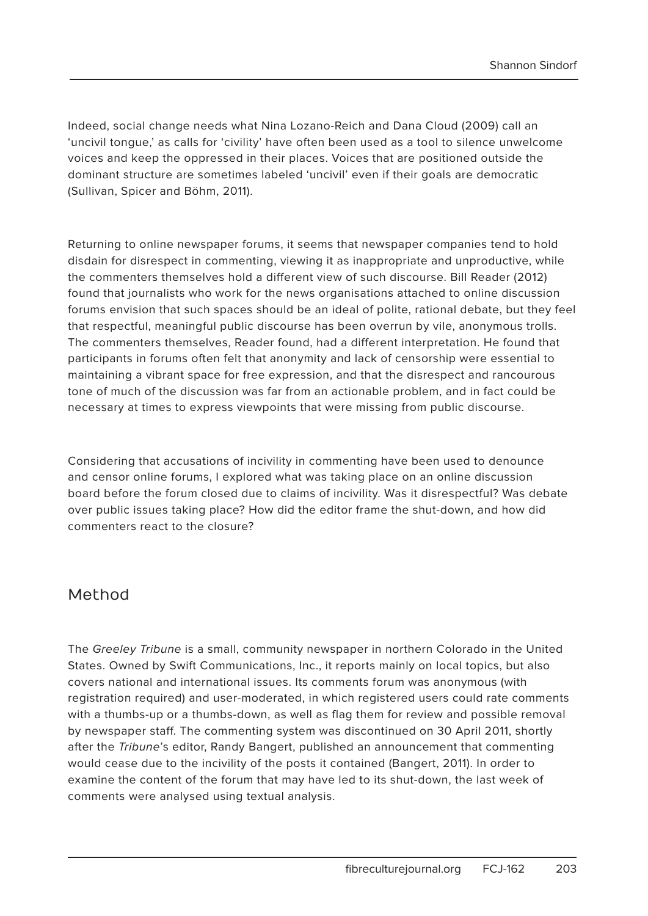Indeed, social change needs what Nina Lozano-Reich and Dana Cloud (2009) call an 'uncivil tongue,' as calls for 'civility' have often been used as a tool to silence unwelcome voices and keep the oppressed in their places. Voices that are positioned outside the dominant structure are sometimes labeled 'uncivil' even if their goals are democratic (Sullivan, Spicer and Böhm, 2011).

Returning to online newspaper forums, it seems that newspaper companies tend to hold disdain for disrespect in commenting, viewing it as inappropriate and unproductive, while the commenters themselves hold a different view of such discourse. Bill Reader (2012) found that journalists who work for the news organisations attached to online discussion forums envision that such spaces should be an ideal of polite, rational debate, but they feel that respectful, meaningful public discourse has been overrun by vile, anonymous trolls. The commenters themselves, Reader found, had a different interpretation. He found that participants in forums often felt that anonymity and lack of censorship were essential to maintaining a vibrant space for free expression, and that the disrespect and rancourous tone of much of the discussion was far from an actionable problem, and in fact could be necessary at times to express viewpoints that were missing from public discourse.

Considering that accusations of incivility in commenting have been used to denounce and censor online forums, I explored what was taking place on an online discussion board before the forum closed due to claims of incivility. Was it disrespectful? Was debate over public issues taking place? How did the editor frame the shut-down, and how did commenters react to the closure?

#### Method

The Greeley Tribune is a small, community newspaper in northern Colorado in the United States. Owned by Swift Communications, Inc., it reports mainly on local topics, but also covers national and international issues. Its comments forum was anonymous (with registration required) and user-moderated, in which registered users could rate comments with a thumbs-up or a thumbs-down, as well as flag them for review and possible removal by newspaper staff. The commenting system was discontinued on 30 April 2011, shortly after the Tribune's editor, Randy Bangert, published an announcement that commenting would cease due to the incivility of the posts it contained (Bangert, 2011). In order to examine the content of the forum that may have led to its shut-down, the last week of comments were analysed using textual analysis.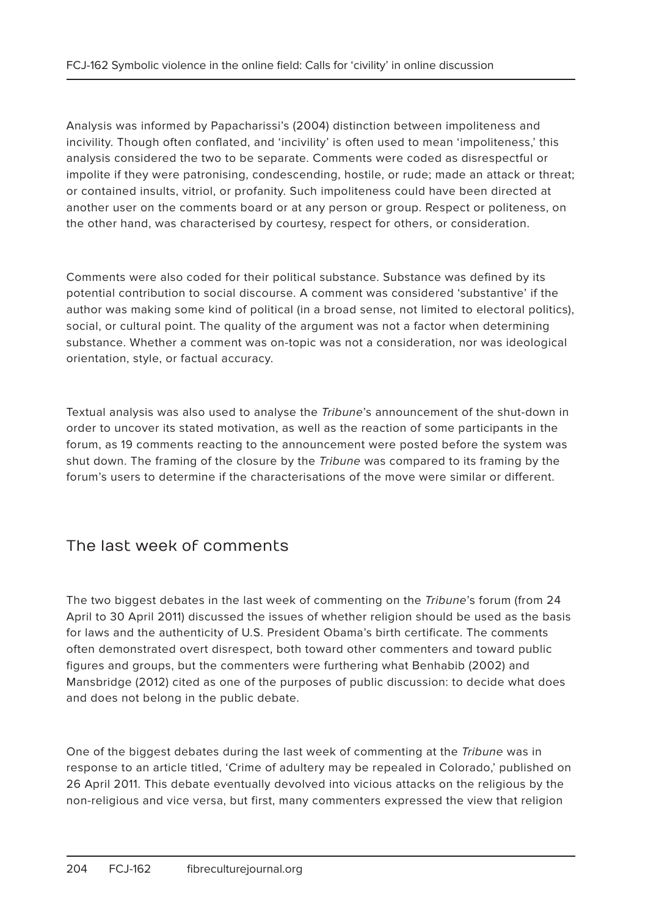Analysis was informed by Papacharissi's (2004) distinction between impoliteness and incivility. Though often conflated, and 'incivility' is often used to mean 'impoliteness,' this analysis considered the two to be separate. Comments were coded as disrespectful or impolite if they were patronising, condescending, hostile, or rude; made an attack or threat; or contained insults, vitriol, or profanity. Such impoliteness could have been directed at another user on the comments board or at any person or group. Respect or politeness, on the other hand, was characterised by courtesy, respect for others, or consideration.

Comments were also coded for their political substance. Substance was defined by its potential contribution to social discourse. A comment was considered 'substantive' if the author was making some kind of political (in a broad sense, not limited to electoral politics), social, or cultural point. The quality of the argument was not a factor when determining substance. Whether a comment was on-topic was not a consideration, nor was ideological orientation, style, or factual accuracy.

Textual analysis was also used to analyse the *Tribune's* announcement of the shut-down in order to uncover its stated motivation, as well as the reaction of some participants in the forum, as 19 comments reacting to the announcement were posted before the system was shut down. The framing of the closure by the *Tribune* was compared to its framing by the forum's users to determine if the characterisations of the move were similar or different.

### The last week of comments

The two biggest debates in the last week of commenting on the Tribune's forum (from 24 April to 30 April 2011) discussed the issues of whether religion should be used as the basis for laws and the authenticity of U.S. President Obama's birth certificate. The comments often demonstrated overt disrespect, both toward other commenters and toward public figures and groups, but the commenters were furthering what Benhabib (2002) and Mansbridge (2012) cited as one of the purposes of public discussion: to decide what does and does not belong in the public debate.

One of the biggest debates during the last week of commenting at the Tribune was in response to an article titled, 'Crime of adultery may be repealed in Colorado,' published on 26 April 2011. This debate eventually devolved into vicious attacks on the religious by the non-religious and vice versa, but first, many commenters expressed the view that religion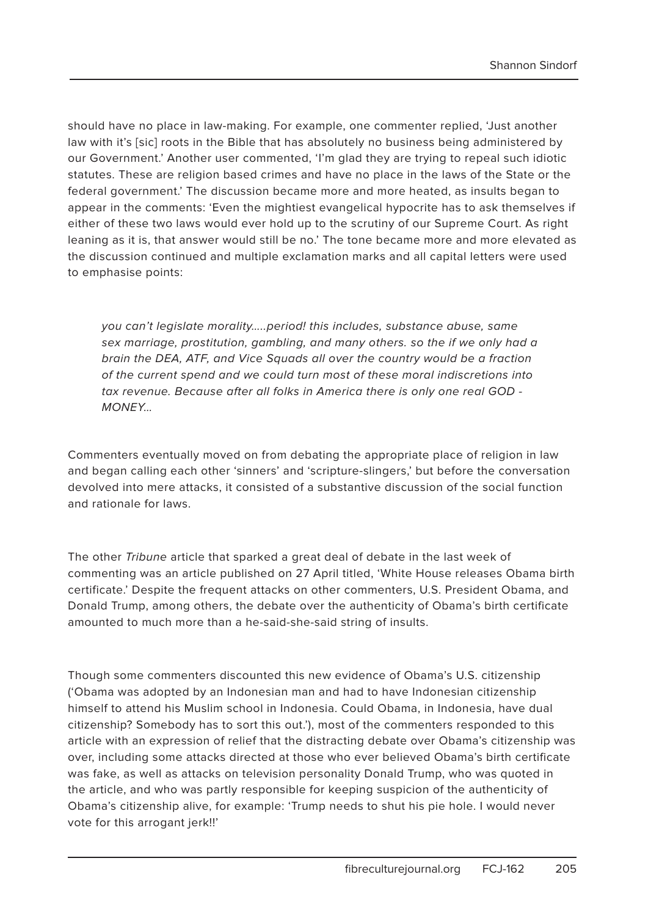should have no place in law-making. For example, one commenter replied, 'Just another law with it's [sic] roots in the Bible that has absolutely no business being administered by our Government.' Another user commented, 'I'm glad they are trying to repeal such idiotic statutes. These are religion based crimes and have no place in the laws of the State or the federal government.' The discussion became more and more heated, as insults began to appear in the comments: 'Even the mightiest evangelical hypocrite has to ask themselves if either of these two laws would ever hold up to the scrutiny of our Supreme Court. As right leaning as it is, that answer would still be no.' The tone became more and more elevated as the discussion continued and multiple exclamation marks and all capital letters were used to emphasise points:

you can't legislate morality…..period! this includes, substance abuse, same sex marriage, prostitution, gambling, and many others. so the if we only had a brain the DEA, ATF, and Vice Squads all over the country would be a fraction of the current spend and we could turn most of these moral indiscretions into tax revenue. Because after all folks in America there is only one real GOD - MONEY…

Commenters eventually moved on from debating the appropriate place of religion in law and began calling each other 'sinners' and 'scripture-slingers,' but before the conversation devolved into mere attacks, it consisted of a substantive discussion of the social function and rationale for laws.

The other Tribune article that sparked a great deal of debate in the last week of commenting was an article published on 27 April titled, 'White House releases Obama birth certificate.' Despite the frequent attacks on other commenters, U.S. President Obama, and Donald Trump, among others, the debate over the authenticity of Obama's birth certificate amounted to much more than a he-said-she-said string of insults.

Though some commenters discounted this new evidence of Obama's U.S. citizenship ('Obama was adopted by an Indonesian man and had to have Indonesian citizenship himself to attend his Muslim school in Indonesia. Could Obama, in Indonesia, have dual citizenship? Somebody has to sort this out.'), most of the commenters responded to this article with an expression of relief that the distracting debate over Obama's citizenship was over, including some attacks directed at those who ever believed Obama's birth certificate was fake, as well as attacks on television personality Donald Trump, who was quoted in the article, and who was partly responsible for keeping suspicion of the authenticity of Obama's citizenship alive, for example: 'Trump needs to shut his pie hole. I would never vote for this arrogant jerk!!'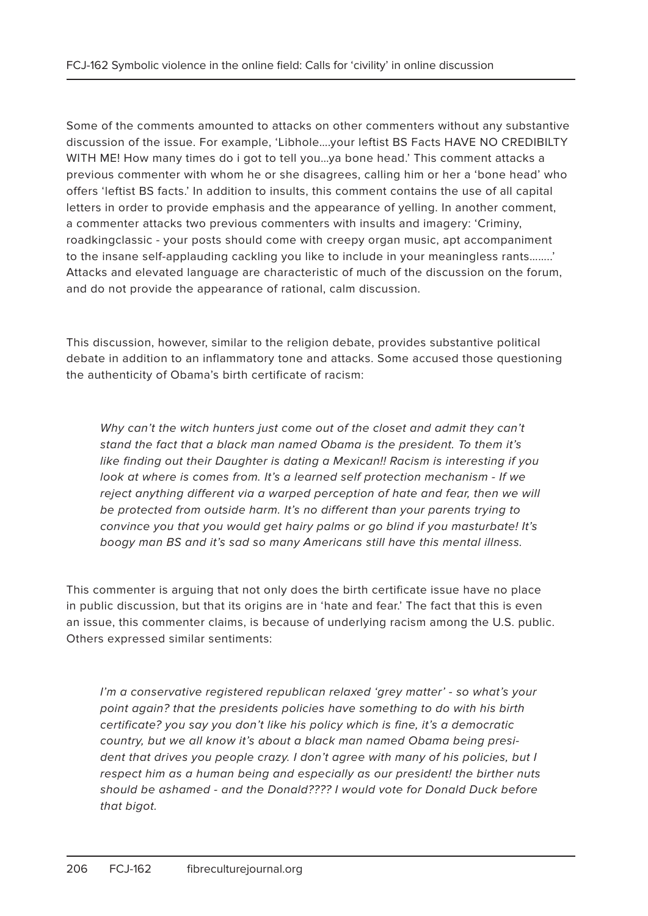Some of the comments amounted to attacks on other commenters without any substantive discussion of the issue. For example, 'Libhole….your leftist BS Facts HAVE NO CREDIBILTY WITH ME! How many times do i got to tell you...ya bone head.' This comment attacks a previous commenter with whom he or she disagrees, calling him or her a 'bone head' who offers 'leftist BS facts.' In addition to insults, this comment contains the use of all capital letters in order to provide emphasis and the appearance of yelling. In another comment, a commenter attacks two previous commenters with insults and imagery: 'Criminy, roadkingclassic - your posts should come with creepy organ music, apt accompaniment to the insane self-applauding cackling you like to include in your meaningless rants……..' Attacks and elevated language are characteristic of much of the discussion on the forum, and do not provide the appearance of rational, calm discussion.

This discussion, however, similar to the religion debate, provides substantive political debate in addition to an inflammatory tone and attacks. Some accused those questioning the authenticity of Obama's birth certificate of racism:

Why can't the witch hunters just come out of the closet and admit they can't stand the fact that a black man named Obama is the president. To them it's like finding out their Daughter is dating a Mexican!! Racism is interesting if you look at where is comes from. It's a learned self protection mechanism - If we reject anything different via a warped perception of hate and fear, then we will be protected from outside harm. It's no different than your parents trying to convince you that you would get hairy palms or go blind if you masturbate! It's boogy man BS and it's sad so many Americans still have this mental illness.

This commenter is arguing that not only does the birth certificate issue have no place in public discussion, but that its origins are in 'hate and fear.' The fact that this is even an issue, this commenter claims, is because of underlying racism among the U.S. public. Others expressed similar sentiments:

I'm a conservative registered republican relaxed 'grey matter' - so what's your point again? that the presidents policies have something to do with his birth certificate? you say you don't like his policy which is fine, it's a democratic country, but we all know it's about a black man named Obama being president that drives you people crazy. I don't agree with many of his policies, but I respect him as a human being and especially as our president! the birther nuts should be ashamed - and the Donald???? I would vote for Donald Duck before that bigot.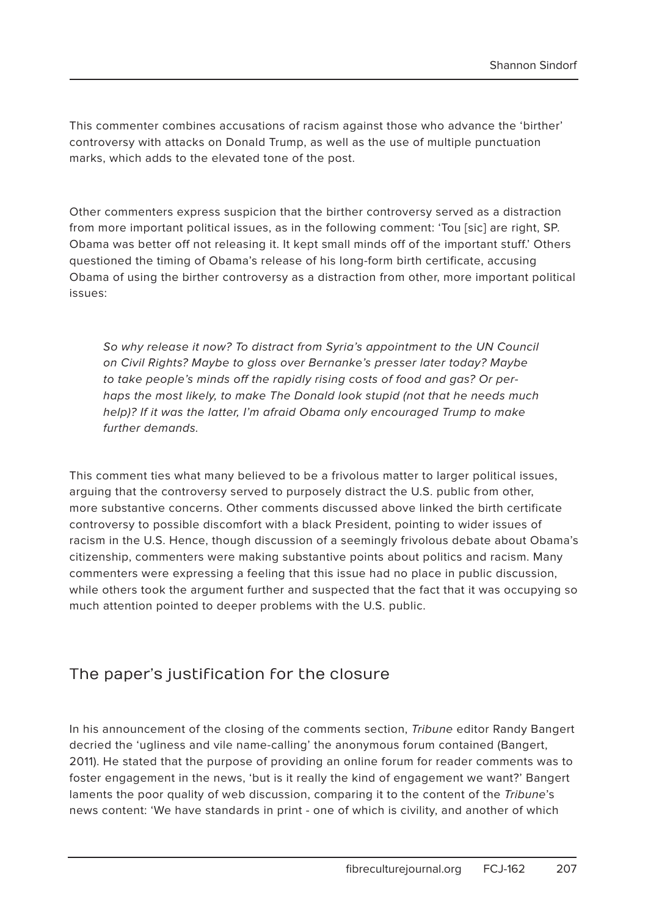This commenter combines accusations of racism against those who advance the 'birther' controversy with attacks on Donald Trump, as well as the use of multiple punctuation marks, which adds to the elevated tone of the post.

Other commenters express suspicion that the birther controversy served as a distraction from more important political issues, as in the following comment: 'Tou [sic] are right, SP. Obama was better off not releasing it. It kept small minds off of the important stuff.' Others questioned the timing of Obama's release of his long-form birth certificate, accusing Obama of using the birther controversy as a distraction from other, more important political issues:

So why release it now? To distract from Syria's appointment to the UN Council on Civil Rights? Maybe to gloss over Bernanke's presser later today? Maybe to take people's minds off the rapidly rising costs of food and gas? Or perhaps the most likely, to make The Donald look stupid (not that he needs much help)? If it was the latter, I'm afraid Obama only encouraged Trump to make further demands.

This comment ties what many believed to be a frivolous matter to larger political issues, arguing that the controversy served to purposely distract the U.S. public from other, more substantive concerns. Other comments discussed above linked the birth certificate controversy to possible discomfort with a black President, pointing to wider issues of racism in the U.S. Hence, though discussion of a seemingly frivolous debate about Obama's citizenship, commenters were making substantive points about politics and racism. Many commenters were expressing a feeling that this issue had no place in public discussion, while others took the argument further and suspected that the fact that it was occupying so much attention pointed to deeper problems with the U.S. public.

#### The paper's justification for the closure

In his announcement of the closing of the comments section, Tribune editor Randy Bangert decried the 'ugliness and vile name-calling' the anonymous forum contained (Bangert, 2011). He stated that the purpose of providing an online forum for reader comments was to foster engagement in the news, 'but is it really the kind of engagement we want?' Bangert laments the poor quality of web discussion, comparing it to the content of the Tribune's news content: 'We have standards in print - one of which is civility, and another of which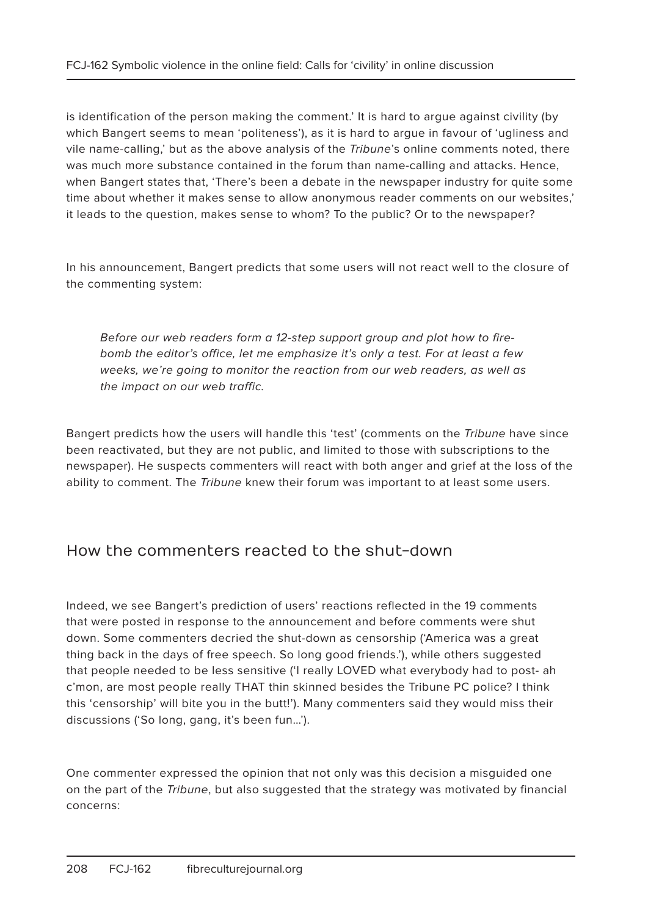is identification of the person making the comment.' It is hard to argue against civility (by which Bangert seems to mean 'politeness'), as it is hard to argue in favour of 'ugliness and vile name-calling,' but as the above analysis of the Tribune's online comments noted, there was much more substance contained in the forum than name-calling and attacks. Hence, when Bangert states that, 'There's been a debate in the newspaper industry for quite some time about whether it makes sense to allow anonymous reader comments on our websites,' it leads to the question, makes sense to whom? To the public? Or to the newspaper?

In his announcement, Bangert predicts that some users will not react well to the closure of the commenting system:

Before our web readers form a 12-step support group and plot how to firebomb the editor's office, let me emphasize it's only a test. For at least a few weeks, we're going to monitor the reaction from our web readers, as well as the impact on our web traffic.

Bangert predicts how the users will handle this 'test' (comments on the Tribune have since been reactivated, but they are not public, and limited to those with subscriptions to the newspaper). He suspects commenters will react with both anger and grief at the loss of the ability to comment. The Tribune knew their forum was important to at least some users.

#### How the commenters reacted to the shut-down

Indeed, we see Bangert's prediction of users' reactions reflected in the 19 comments that were posted in response to the announcement and before comments were shut down. Some commenters decried the shut-down as censorship ('America was a great thing back in the days of free speech. So long good friends.'), while others suggested that people needed to be less sensitive ('I really LOVED what everybody had to post- ah c'mon, are most people really THAT thin skinned besides the Tribune PC police? I think this 'censorship' will bite you in the butt!'). Many commenters said they would miss their discussions ('So long, gang, it's been fun…').

One commenter expressed the opinion that not only was this decision a misguided one on the part of the Tribune, but also suggested that the strategy was motivated by financial concerns: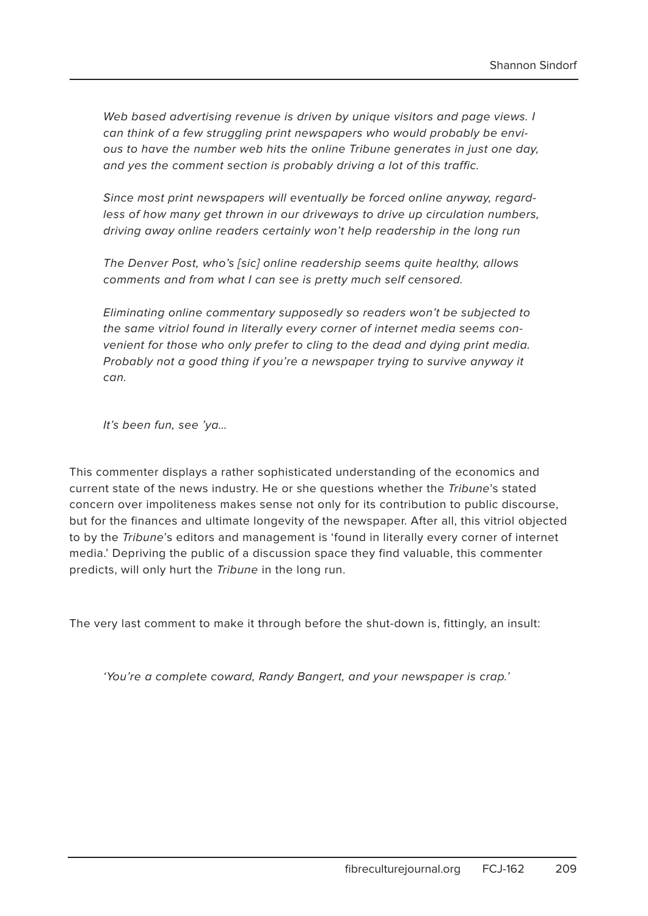Web based advertising revenue is driven by unique visitors and page views. I can think of a few struggling print newspapers who would probably be envious to have the number web hits the online Tribune generates in just one day, and yes the comment section is probably driving a lot of this traffic.

Since most print newspapers will eventually be forced online anyway, regardless of how many get thrown in our driveways to drive up circulation numbers, driving away online readers certainly won't help readership in the long run

The Denver Post, who's [sic] online readership seems quite healthy, allows comments and from what I can see is pretty much self censored.

Eliminating online commentary supposedly so readers won't be subjected to the same vitriol found in literally every corner of internet media seems convenient for those who only prefer to cling to the dead and dying print media. Probably not a good thing if you're a newspaper trying to survive anyway it can.

It's been fun, see 'ya…

This commenter displays a rather sophisticated understanding of the economics and current state of the news industry. He or she questions whether the Tribune's stated concern over impoliteness makes sense not only for its contribution to public discourse, but for the finances and ultimate longevity of the newspaper. After all, this vitriol objected to by the Tribune's editors and management is 'found in literally every corner of internet media.' Depriving the public of a discussion space they find valuable, this commenter predicts, will only hurt the Tribune in the long run.

The very last comment to make it through before the shut-down is, fittingly, an insult:

'You're a complete coward, Randy Bangert, and your newspaper is crap.'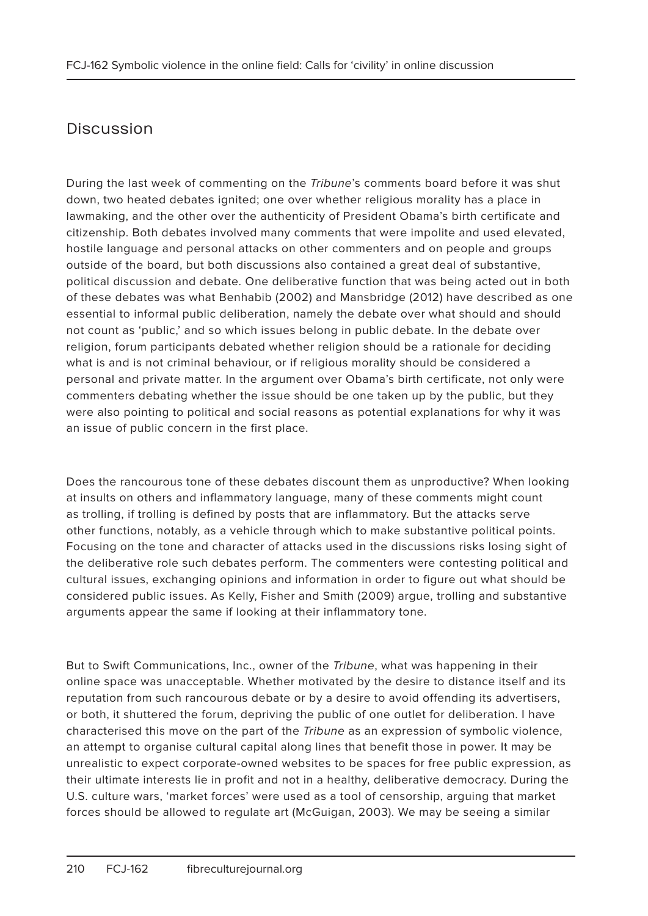# Discussion

During the last week of commenting on the Tribune's comments board before it was shut down, two heated debates ignited; one over whether religious morality has a place in lawmaking, and the other over the authenticity of President Obama's birth certificate and citizenship. Both debates involved many comments that were impolite and used elevated, hostile language and personal attacks on other commenters and on people and groups outside of the board, but both discussions also contained a great deal of substantive, political discussion and debate. One deliberative function that was being acted out in both of these debates was what Benhabib (2002) and Mansbridge (2012) have described as one essential to informal public deliberation, namely the debate over what should and should not count as 'public,' and so which issues belong in public debate. In the debate over religion, forum participants debated whether religion should be a rationale for deciding what is and is not criminal behaviour, or if religious morality should be considered a personal and private matter. In the argument over Obama's birth certificate, not only were commenters debating whether the issue should be one taken up by the public, but they were also pointing to political and social reasons as potential explanations for why it was an issue of public concern in the first place.

Does the rancourous tone of these debates discount them as unproductive? When looking at insults on others and inflammatory language, many of these comments might count as trolling, if trolling is defined by posts that are inflammatory. But the attacks serve other functions, notably, as a vehicle through which to make substantive political points. Focusing on the tone and character of attacks used in the discussions risks losing sight of the deliberative role such debates perform. The commenters were contesting political and cultural issues, exchanging opinions and information in order to figure out what should be considered public issues. As Kelly, Fisher and Smith (2009) argue, trolling and substantive arguments appear the same if looking at their inflammatory tone.

But to Swift Communications, Inc., owner of the Tribune, what was happening in their online space was unacceptable. Whether motivated by the desire to distance itself and its reputation from such rancourous debate or by a desire to avoid offending its advertisers, or both, it shuttered the forum, depriving the public of one outlet for deliberation. I have characterised this move on the part of the Tribune as an expression of symbolic violence, an attempt to organise cultural capital along lines that benefit those in power. It may be unrealistic to expect corporate-owned websites to be spaces for free public expression, as their ultimate interests lie in profit and not in a healthy, deliberative democracy. During the U.S. culture wars, 'market forces' were used as a tool of censorship, arguing that market forces should be allowed to regulate art (McGuigan, 2003). We may be seeing a similar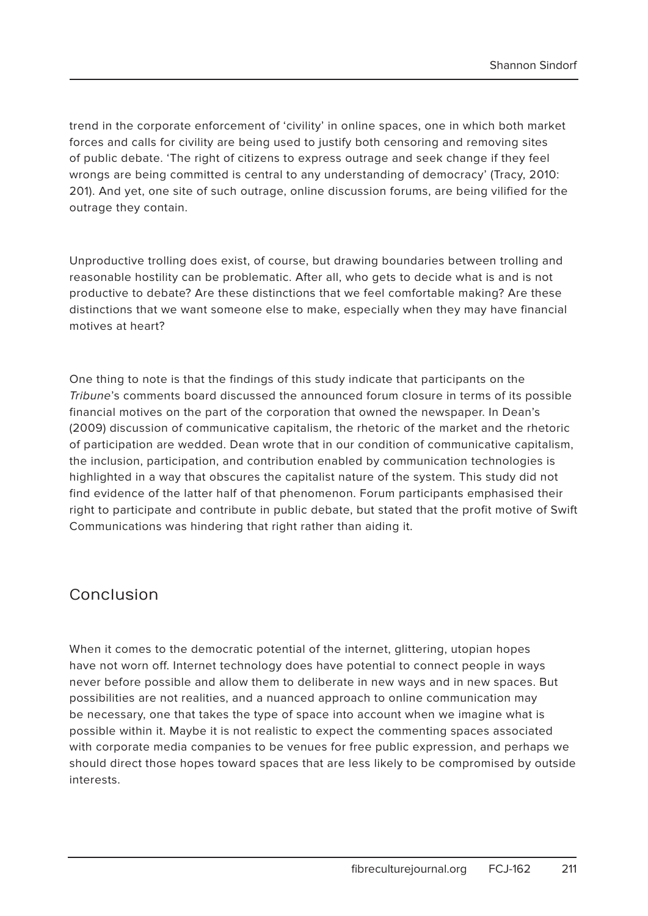trend in the corporate enforcement of 'civility' in online spaces, one in which both market forces and calls for civility are being used to justify both censoring and removing sites of public debate. 'The right of citizens to express outrage and seek change if they feel wrongs are being committed is central to any understanding of democracy' (Tracy, 2010: 201). And yet, one site of such outrage, online discussion forums, are being vilified for the outrage they contain.

Unproductive trolling does exist, of course, but drawing boundaries between trolling and reasonable hostility can be problematic. After all, who gets to decide what is and is not productive to debate? Are these distinctions that we feel comfortable making? Are these distinctions that we want someone else to make, especially when they may have financial motives at heart?

One thing to note is that the findings of this study indicate that participants on the Tribune's comments board discussed the announced forum closure in terms of its possible financial motives on the part of the corporation that owned the newspaper. In Dean's (2009) discussion of communicative capitalism, the rhetoric of the market and the rhetoric of participation are wedded. Dean wrote that in our condition of communicative capitalism, the inclusion, participation, and contribution enabled by communication technologies is highlighted in a way that obscures the capitalist nature of the system. This study did not find evidence of the latter half of that phenomenon. Forum participants emphasised their right to participate and contribute in public debate, but stated that the profit motive of Swift Communications was hindering that right rather than aiding it.

#### Conclusion

When it comes to the democratic potential of the internet, glittering, utopian hopes have not worn off. Internet technology does have potential to connect people in ways never before possible and allow them to deliberate in new ways and in new spaces. But possibilities are not realities, and a nuanced approach to online communication may be necessary, one that takes the type of space into account when we imagine what is possible within it. Maybe it is not realistic to expect the commenting spaces associated with corporate media companies to be venues for free public expression, and perhaps we should direct those hopes toward spaces that are less likely to be compromised by outside interests.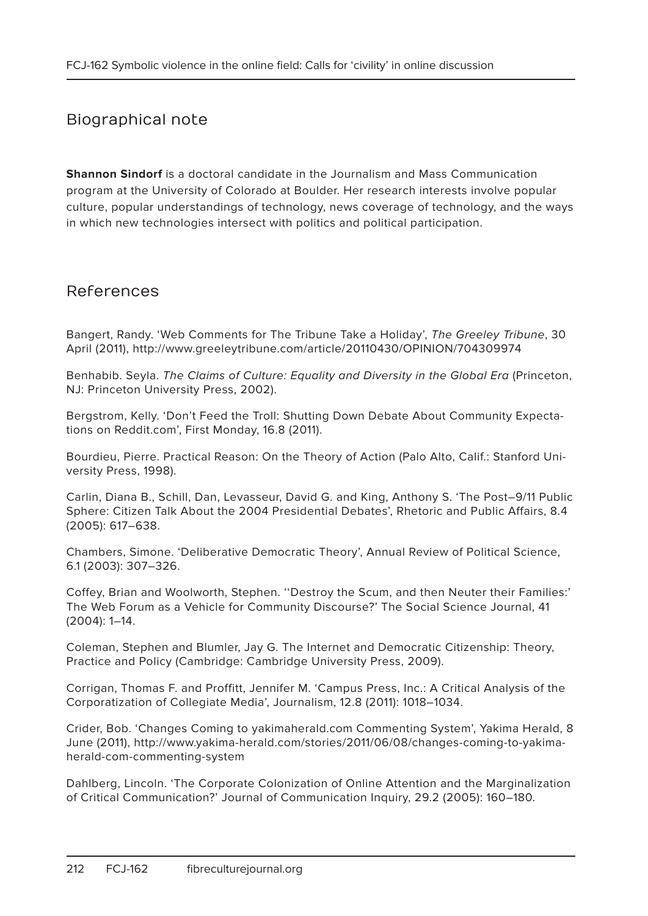#### Biographical note

**Shannon Sindorf** is a doctoral candidate in the Journalism and Mass Communication program at the University of Colorado at Boulder. Her research interests involve popular culture, popular understandings of technology, news coverage of technology, and the ways in which new technologies intersect with politics and political participation.

#### References

Bangert, Randy. 'Web Comments for The Tribune Take a Holiday', The Greeley Tribune, 30 April (2011), http://www.greeleytribune.com/article/20110430/OPINION/704309974

Benhabib. Seyla. The Claims of Culture: Equality and Diversity in the Global Era (Princeton, NJ: Princeton University Press, 2002).

Bergstrom, Kelly. 'Don't Feed the Troll: Shutting Down Debate About Community Expectations on Reddit.com', First Monday, 16.8 (2011).

Bourdieu, Pierre. Practical Reason: On the Theory of Action (Palo Alto, Calif.: Stanford University Press, 1998).

Carlin, Diana B., Schill, Dan, Levasseur, David G. and King, Anthony S. 'The Post–9/11 Public Sphere: Citizen Talk About the 2004 Presidential Debates', Rhetoric and Public Affairs, 8.4 (2005): 617–638.

Chambers, Simone. 'Deliberative Democratic Theory', Annual Review of Political Science, 6.1 (2003): 307–326.

Coffey, Brian and Woolworth, Stephen. ''Destroy the Scum, and then Neuter their Families:' The Web Forum as a Vehicle for Community Discourse?' The Social Science Journal, 41 (2004): 1–14.

Coleman, Stephen and Blumler, Jay G. The Internet and Democratic Citizenship: Theory, Practice and Policy (Cambridge: Cambridge University Press, 2009).

Corrigan, Thomas F. and Proffitt, Jennifer M. 'Campus Press, Inc.: A Critical Analysis of the Corporatization of Collegiate Media', Journalism, 12.8 (2011): 1018–1034.

Crider, Bob. 'Changes Coming to yakimaherald.com Commenting System', Yakima Herald, 8 June (2011), http://www.yakima-herald.com/stories/2011/06/08/changes-coming-to-yakimaherald-com-commenting-system

Dahlberg, Lincoln. 'The Corporate Colonization of Online Attention and the Marginalization of Critical Communication?' Journal of Communication Inquiry, 29.2 (2005): 160–180.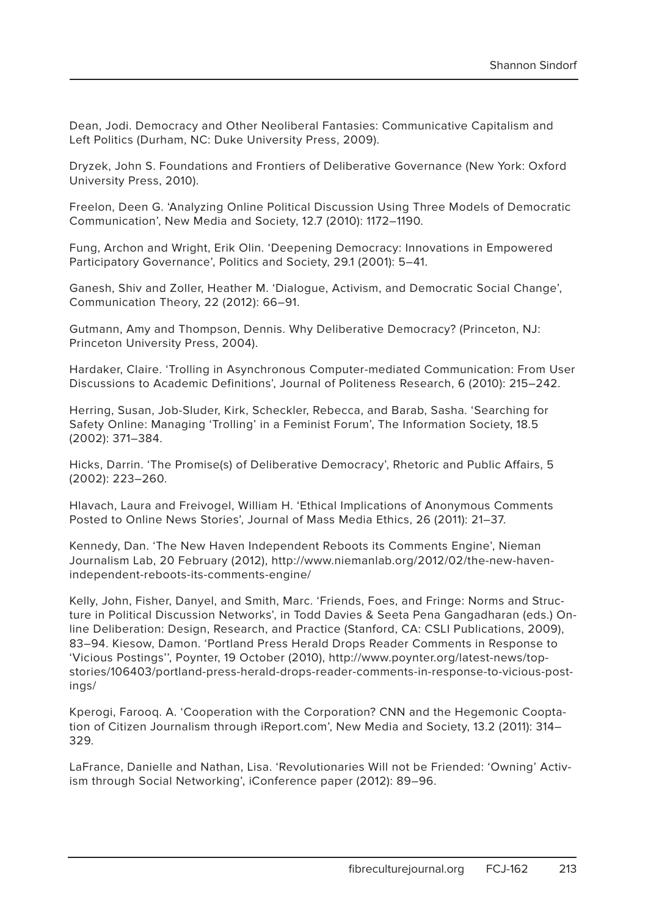Dean, Jodi. Democracy and Other Neoliberal Fantasies: Communicative Capitalism and Left Politics (Durham, NC: Duke University Press, 2009).

Dryzek, John S. Foundations and Frontiers of Deliberative Governance (New York: Oxford University Press, 2010).

Freelon, Deen G. 'Analyzing Online Political Discussion Using Three Models of Democratic Communication', New Media and Society, 12.7 (2010): 1172–1190.

Fung, Archon and Wright, Erik Olin. 'Deepening Democracy: Innovations in Empowered Participatory Governance', Politics and Society, 29.1 (2001): 5–41.

Ganesh, Shiv and Zoller, Heather M. 'Dialogue, Activism, and Democratic Social Change', Communication Theory, 22 (2012): 66–91.

Gutmann, Amy and Thompson, Dennis. Why Deliberative Democracy? (Princeton, NJ: Princeton University Press, 2004).

Hardaker, Claire. 'Trolling in Asynchronous Computer-mediated Communication: From User Discussions to Academic Definitions', Journal of Politeness Research, 6 (2010): 215–242.

Herring, Susan, Job-Sluder, Kirk, Scheckler, Rebecca, and Barab, Sasha. 'Searching for Safety Online: Managing 'Trolling' in a Feminist Forum', The Information Society, 18.5 (2002): 371–384.

Hicks, Darrin. 'The Promise(s) of Deliberative Democracy', Rhetoric and Public Affairs, 5 (2002): 223–260.

Hlavach, Laura and Freivogel, William H. 'Ethical Implications of Anonymous Comments Posted to Online News Stories', Journal of Mass Media Ethics, 26 (2011): 21–37.

Kennedy, Dan. 'The New Haven Independent Reboots its Comments Engine', Nieman Journalism Lab, 20 February (2012), http://www.niemanlab.org/2012/02/the-new-havenindependent-reboots-its-comments-engine/

Kelly, John, Fisher, Danyel, and Smith, Marc. 'Friends, Foes, and Fringe: Norms and Structure in Political Discussion Networks', in Todd Davies & Seeta Pena Gangadharan (eds.) Online Deliberation: Design, Research, and Practice (Stanford, CA: CSLI Publications, 2009), 83–94. Kiesow, Damon. 'Portland Press Herald Drops Reader Comments in Response to 'Vicious Postings'', Poynter, 19 October (2010), http://www.poynter.org/latest-news/topstories/106403/portland-press-herald-drops-reader-comments-in-response-to-vicious-postings/

Kperogi, Farooq. A. 'Cooperation with the Corporation? CNN and the Hegemonic Cooptation of Citizen Journalism through iReport.com', New Media and Society, 13.2 (2011): 314– 329.

LaFrance, Danielle and Nathan, Lisa. 'Revolutionaries Will not be Friended: 'Owning' Activism through Social Networking', iConference paper (2012): 89–96.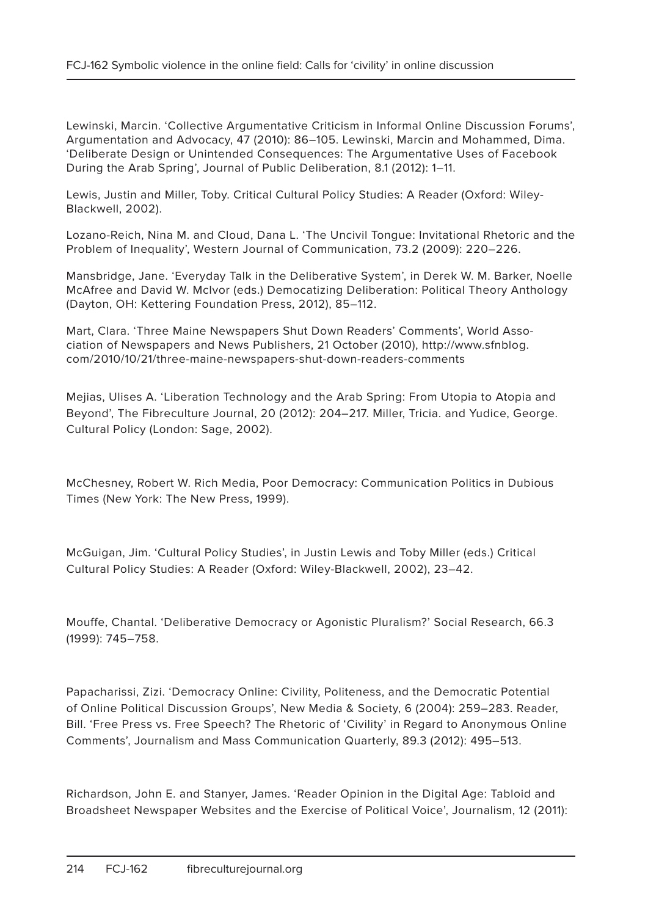Lewinski, Marcin. 'Collective Argumentative Criticism in Informal Online Discussion Forums', Argumentation and Advocacy, 47 (2010): 86–105. Lewinski, Marcin and Mohammed, Dima. 'Deliberate Design or Unintended Consequences: The Argumentative Uses of Facebook During the Arab Spring', Journal of Public Deliberation, 8.1 (2012): 1–11.

Lewis, Justin and Miller, Toby. Critical Cultural Policy Studies: A Reader (Oxford: Wiley-Blackwell, 2002).

Lozano-Reich, Nina M. and Cloud, Dana L. 'The Uncivil Tongue: Invitational Rhetoric and the Problem of Inequality', Western Journal of Communication, 73.2 (2009): 220–226.

Mansbridge, Jane. 'Everyday Talk in the Deliberative System', in Derek W. M. Barker, Noelle McAfree and David W. McIvor (eds.) Democatizing Deliberation: Political Theory Anthology (Dayton, OH: Kettering Foundation Press, 2012), 85–112.

Mart, Clara. 'Three Maine Newspapers Shut Down Readers' Comments', World Association of Newspapers and News Publishers, 21 October (2010), http://www.sfnblog. com/2010/10/21/three-maine-newspapers-shut-down-readers-comments

Mejias, Ulises A. 'Liberation Technology and the Arab Spring: From Utopia to Atopia and Beyond', The Fibreculture Journal, 20 (2012): 204–217. Miller, Tricia. and Yudice, George. Cultural Policy (London: Sage, 2002).

McChesney, Robert W. Rich Media, Poor Democracy: Communication Politics in Dubious Times (New York: The New Press, 1999).

McGuigan, Jim. 'Cultural Policy Studies', in Justin Lewis and Toby Miller (eds.) Critical Cultural Policy Studies: A Reader (Oxford: Wiley-Blackwell, 2002), 23–42.

Mouffe, Chantal. 'Deliberative Democracy or Agonistic Pluralism?' Social Research, 66.3 (1999): 745–758.

Papacharissi, Zizi. 'Democracy Online: Civility, Politeness, and the Democratic Potential of Online Political Discussion Groups', New Media & Society, 6 (2004): 259–283. Reader, Bill. 'Free Press vs. Free Speech? The Rhetoric of 'Civility' in Regard to Anonymous Online Comments', Journalism and Mass Communication Quarterly, 89.3 (2012): 495–513.

Richardson, John E. and Stanyer, James. 'Reader Opinion in the Digital Age: Tabloid and Broadsheet Newspaper Websites and the Exercise of Political Voice', Journalism, 12 (2011):